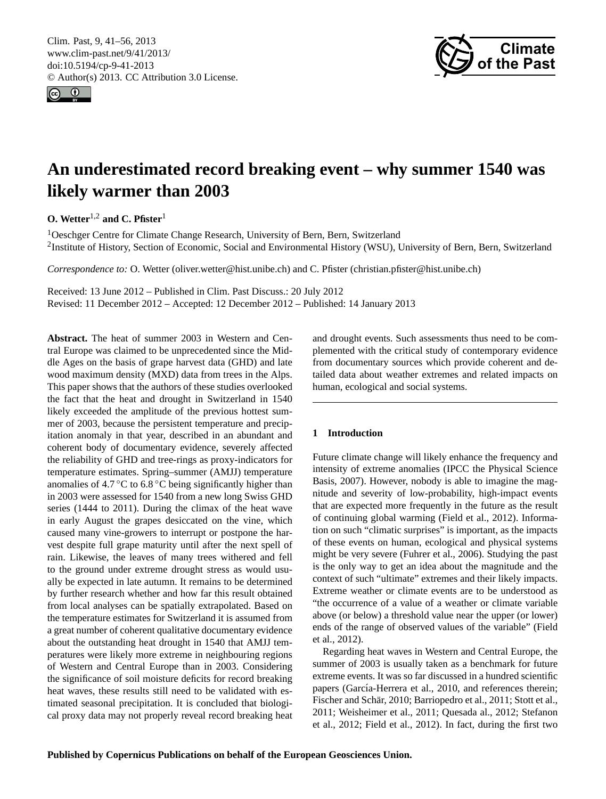<span id="page-0-0"></span>Clim. Past, 9, 41–56, 2013 www.clim-past.net/9/41/2013/ doi:10.5194/cp-9-41-2013 © Author(s) 2013. CC Attribution 3.0 License.





# **An underestimated record breaking event – why summer 1540 was likely warmer than 2003**

**O. Wetter**1,2 **and C. Pfister**<sup>1</sup>

<sup>1</sup>Oeschger Centre for Climate Change Research, University of Bern, Bern, Switzerland <sup>2</sup>Institute of History, Section of Economic, Social and Environmental History (WSU), University of Bern, Bern, Switzerland

*Correspondence to:* O. Wetter (oliver.wetter@hist.unibe.ch) and C. Pfister (christian.pfister@hist.unibe.ch)

Received: 13 June 2012 – Published in Clim. Past Discuss.: 20 July 2012

Revised: 11 December 2012 – Accepted: 12 December 2012 – Published: 14 January 2013

**Abstract.** The heat of summer 2003 in Western and Central Europe was claimed to be unprecedented since the Middle Ages on the basis of grape harvest data (GHD) and late wood maximum density (MXD) data from trees in the Alps. This paper shows that the authors of these studies overlooked the fact that the heat and drought in Switzerland in 1540 likely exceeded the amplitude of the previous hottest summer of 2003, because the persistent temperature and precipitation anomaly in that year, described in an abundant and coherent body of documentary evidence, severely affected the reliability of GHD and tree-rings as proxy-indicators for temperature estimates. Spring–summer (AMJJ) temperature anomalies of  $4.7^{\circ}$ C to  $6.8^{\circ}$ C being significantly higher than in 2003 were assessed for 1540 from a new long Swiss GHD series (1444 to 2011). During the climax of the heat wave in early August the grapes desiccated on the vine, which caused many vine-growers to interrupt or postpone the harvest despite full grape maturity until after the next spell of rain. Likewise, the leaves of many trees withered and fell to the ground under extreme drought stress as would usually be expected in late autumn. It remains to be determined by further research whether and how far this result obtained from local analyses can be spatially extrapolated. Based on the temperature estimates for Switzerland it is assumed from a great number of coherent qualitative documentary evidence about the outstanding heat drought in 1540 that AMJJ temperatures were likely more extreme in neighbouring regions of Western and Central Europe than in 2003. Considering the significance of soil moisture deficits for record breaking heat waves, these results still need to be validated with estimated seasonal precipitation. It is concluded that biological proxy data may not properly reveal record breaking heat and drought events. Such assessments thus need to be complemented with the critical study of contemporary evidence from documentary sources which provide coherent and detailed data about weather extremes and related impacts on human, ecological and social systems.

# **1 Introduction**

Future climate change will likely enhance the frequency and intensity of extreme anomalies (IPCC the Physical Science Basis, 2007). However, nobody is able to imagine the magnitude and severity of low-probability, high-impact events that are expected more frequently in the future as the result of continuing global warming (Field et al., 2012). Information on such "climatic surprises" is important, as the impacts of these events on human, ecological and physical systems might be very severe (Fuhrer et al., 2006). Studying the past is the only way to get an idea about the magnitude and the context of such "ultimate" extremes and their likely impacts. Extreme weather or climate events are to be understood as "the occurrence of a value of a weather or climate variable above (or below) a threshold value near the upper (or lower) ends of the range of observed values of the variable" (Field et al., 2012).

Regarding heat waves in Western and Central Europe, the summer of 2003 is usually taken as a benchmark for future extreme events. It was so far discussed in a hundred scientific papers (García-Herrera et al., 2010, and references therein; Fischer and Schär, 2010; Barriopedro et al., 2011; Stott et al., 2011; Weisheimer et al., 2011; Quesada al., 2012; Stefanon et al., 2012; Field et al., 2012). In fact, during the first two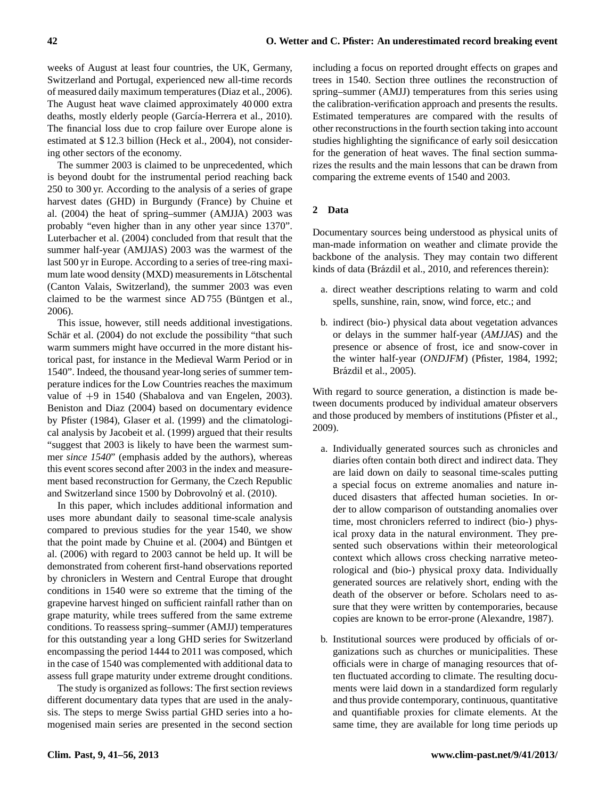weeks of August at least four countries, the UK, Germany, Switzerland and Portugal, experienced new all-time records of measured daily maximum temperatures (Diaz et al., 2006). The August heat wave claimed approximately 40 000 extra deaths, mostly elderly people (García-Herrera et al., 2010). The financial loss due to crop failure over Europe alone is estimated at \$ 12.3 billion (Heck et al., 2004), not considering other sectors of the economy.

The summer 2003 is claimed to be unprecedented, which is beyond doubt for the instrumental period reaching back 250 to 300 yr. According to the analysis of a series of grape harvest dates (GHD) in Burgundy (France) by Chuine et al. (2004) the heat of spring–summer (AMJJA) 2003 was probably "even higher than in any other year since 1370". Luterbacher et al. (2004) concluded from that result that the summer half-year (AMJJAS) 2003 was the warmest of the last 500 yr in Europe. According to a series of tree-ring maximum late wood density (MXD) measurements in Lötschental (Canton Valais, Switzerland), the summer 2003 was even claimed to be the warmest since  $AD 755$  (Büntgen et al., 2006).

This issue, however, still needs additional investigations. Schär et al. (2004) do not exclude the possibility "that such warm summers might have occurred in the more distant historical past, for instance in the Medieval Warm Period or in 1540". Indeed, the thousand year-long series of summer temperature indices for the Low Countries reaches the maximum value of +9 in 1540 (Shabalova and van Engelen, 2003). Beniston and Diaz (2004) based on documentary evidence by Pfister (1984), Glaser et al. (1999) and the climatological analysis by Jacobeit et al. (1999) argued that their results "suggest that 2003 is likely to have been the warmest summer *since 1540*" (emphasis added by the authors), whereas this event scores second after 2003 in the index and measurement based reconstruction for Germany, the Czech Republic and Switzerland since 1500 by Dobrovolný et al. (2010).

In this paper, which includes additional information and uses more abundant daily to seasonal time-scale analysis compared to previous studies for the year 1540, we show that the point made by Chuine et al.  $(2004)$  and Büntgen et al. (2006) with regard to 2003 cannot be held up. It will be demonstrated from coherent first-hand observations reported by chroniclers in Western and Central Europe that drought conditions in 1540 were so extreme that the timing of the grapevine harvest hinged on sufficient rainfall rather than on grape maturity, while trees suffered from the same extreme conditions. To reassess spring–summer (AMJJ) temperatures for this outstanding year a long GHD series for Switzerland encompassing the period 1444 to 2011 was composed, which in the case of 1540 was complemented with additional data to assess full grape maturity under extreme drought conditions.

The study is organized as follows: The first section reviews different documentary data types that are used in the analysis. The steps to merge Swiss partial GHD series into a homogenised main series are presented in the second section including a focus on reported drought effects on grapes and trees in 1540. Section three outlines the reconstruction of spring–summer (AMJJ) temperatures from this series using the calibration-verification approach and presents the results. Estimated temperatures are compared with the results of other reconstructions in the fourth section taking into account studies highlighting the significance of early soil desiccation for the generation of heat waves. The final section summarizes the results and the main lessons that can be drawn from comparing the extreme events of 1540 and 2003.

## **2 Data**

Documentary sources being understood as physical units of man-made information on weather and climate provide the backbone of the analysis. They may contain two different kinds of data (Brázdil et al., 2010, and references therein):

- a. direct weather descriptions relating to warm and cold spells, sunshine, rain, snow, wind force, etc.; and
- b. indirect (bio-) physical data about vegetation advances or delays in the summer half-year (*AMJJAS*) and the presence or absence of frost, ice and snow-cover in the winter half-year (*ONDJFM*) (Pfister, 1984, 1992; Brázdil et al., 2005).

With regard to source generation, a distinction is made between documents produced by individual amateur observers and those produced by members of institutions (Pfister et al., 2009).

- a. Individually generated sources such as chronicles and diaries often contain both direct and indirect data. They are laid down on daily to seasonal time-scales putting a special focus on extreme anomalies and nature induced disasters that affected human societies. In order to allow comparison of outstanding anomalies over time, most chroniclers referred to indirect (bio-) physical proxy data in the natural environment. They presented such observations within their meteorological context which allows cross checking narrative meteorological and (bio-) physical proxy data. Individually generated sources are relatively short, ending with the death of the observer or before. Scholars need to assure that they were written by contemporaries, because copies are known to be error-prone (Alexandre, 1987).
- b. Institutional sources were produced by officials of organizations such as churches or municipalities. These officials were in charge of managing resources that often fluctuated according to climate. The resulting documents were laid down in a standardized form regularly and thus provide contemporary, continuous, quantitative and quantifiable proxies for climate elements. At the same time, they are available for long time periods up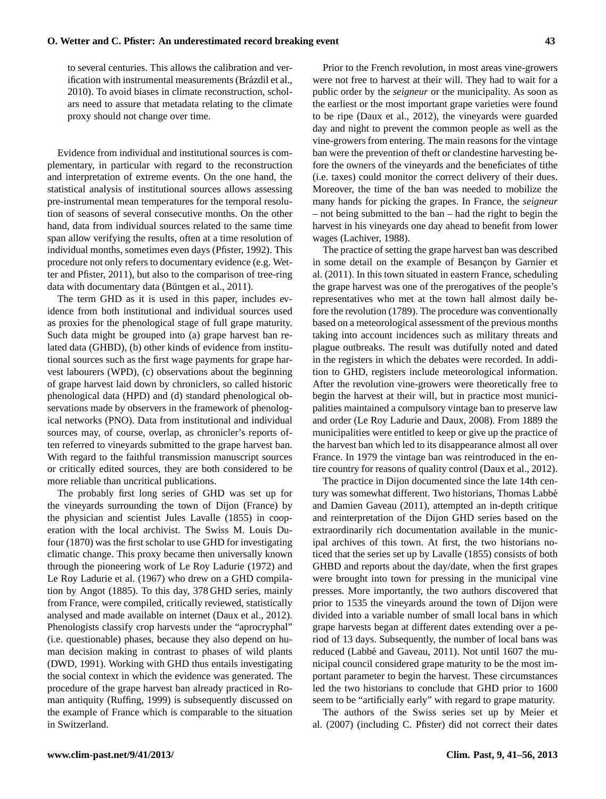to several centuries. This allows the calibration and verification with instrumental measurements (Brázdil et al., 2010). To avoid biases in climate reconstruction, scholars need to assure that metadata relating to the climate proxy should not change over time.

Evidence from individual and institutional sources is complementary, in particular with regard to the reconstruction and interpretation of extreme events. On the one hand, the statistical analysis of institutional sources allows assessing pre-instrumental mean temperatures for the temporal resolution of seasons of several consecutive months. On the other hand, data from individual sources related to the same time span allow verifying the results, often at a time resolution of individual months, sometimes even days (Pfister, 1992). This procedure not only refers to documentary evidence (e.g. Wetter and Pfister, 2011), but also to the comparison of tree-ring data with documentary data (Büntgen et al., 2011).

The term GHD as it is used in this paper, includes evidence from both institutional and individual sources used as proxies for the phenological stage of full grape maturity. Such data might be grouped into (a) grape harvest ban related data (GHBD), (b) other kinds of evidence from institutional sources such as the first wage payments for grape harvest labourers (WPD), (c) observations about the beginning of grape harvest laid down by chroniclers, so called historic phenological data (HPD) and (d) standard phenological observations made by observers in the framework of phenological networks (PNO). Data from institutional and individual sources may, of course, overlap, as chronicler's reports often referred to vineyards submitted to the grape harvest ban. With regard to the faithful transmission manuscript sources or critically edited sources, they are both considered to be more reliable than uncritical publications.

The probably first long series of GHD was set up for the vineyards surrounding the town of Dijon (France) by the physician and scientist Jules Lavalle (1855) in cooperation with the local archivist. The Swiss M. Louis Dufour (1870) was the first scholar to use GHD for investigating climatic change. This proxy became then universally known through the pioneering work of Le Roy Ladurie (1972) and Le Roy Ladurie et al. (1967) who drew on a GHD compilation by Angot (1885). To this day, 378 GHD series, mainly from France, were compiled, critically reviewed, statistically analysed and made available on internet (Daux et al., 2012). Phenologists classify crop harvests under the "aprocryphal" (i.e. questionable) phases, because they also depend on human decision making in contrast to phases of wild plants (DWD, 1991). Working with GHD thus entails investigating the social context in which the evidence was generated. The procedure of the grape harvest ban already practiced in Roman antiquity (Ruffing, 1999) is subsequently discussed on the example of France which is comparable to the situation in Switzerland.

Prior to the French revolution, in most areas vine-growers were not free to harvest at their will. They had to wait for a public order by the *seigneur* or the municipality. As soon as the earliest or the most important grape varieties were found to be ripe (Daux et al., 2012), the vineyards were guarded day and night to prevent the common people as well as the vine-growers from entering. The main reasons for the vintage ban were the prevention of theft or clandestine harvesting before the owners of the vineyards and the beneficiates of tithe (i.e. taxes) could monitor the correct delivery of their dues. Moreover, the time of the ban was needed to mobilize the many hands for picking the grapes. In France, the *seigneur* – not being submitted to the ban – had the right to begin the harvest in his vineyards one day ahead to benefit from lower wages (Lachiver, 1988).

The practice of setting the grape harvest ban was described in some detail on the example of Besançon by Garnier et al. (2011). In this town situated in eastern France, scheduling the grape harvest was one of the prerogatives of the people's representatives who met at the town hall almost daily before the revolution (1789). The procedure was conventionally based on a meteorological assessment of the previous months taking into account incidences such as military threats and plague outbreaks. The result was dutifully noted and dated in the registers in which the debates were recorded. In addition to GHD, registers include meteorological information. After the revolution vine-growers were theoretically free to begin the harvest at their will, but in practice most municipalities maintained a compulsory vintage ban to preserve law and order (Le Roy Ladurie and Daux, 2008). From 1889 the municipalities were entitled to keep or give up the practice of the harvest ban which led to its disappearance almost all over France. In 1979 the vintage ban was reintroduced in the entire country for reasons of quality control (Daux et al., 2012).

The practice in Dijon documented since the late 14th century was somewhat different. Two historians, Thomas Labbe´ and Damien Gaveau (2011), attempted an in-depth critique and reinterpretation of the Dijon GHD series based on the extraordinarily rich documentation available in the municipal archives of this town. At first, the two historians noticed that the series set up by Lavalle (1855) consists of both GHBD and reports about the day/date, when the first grapes were brought into town for pressing in the municipal vine presses. More importantly, the two authors discovered that prior to 1535 the vineyards around the town of Dijon were divided into a variable number of small local bans in which grape harvests began at different dates extending over a period of 13 days. Subsequently, the number of local bans was reduced (Labbé and Gaveau, 2011). Not until 1607 the municipal council considered grape maturity to be the most important parameter to begin the harvest. These circumstances led the two historians to conclude that GHD prior to 1600 seem to be "artificially early" with regard to grape maturity.

The authors of the Swiss series set up by Meier et al. (2007) (including C. Pfister) did not correct their dates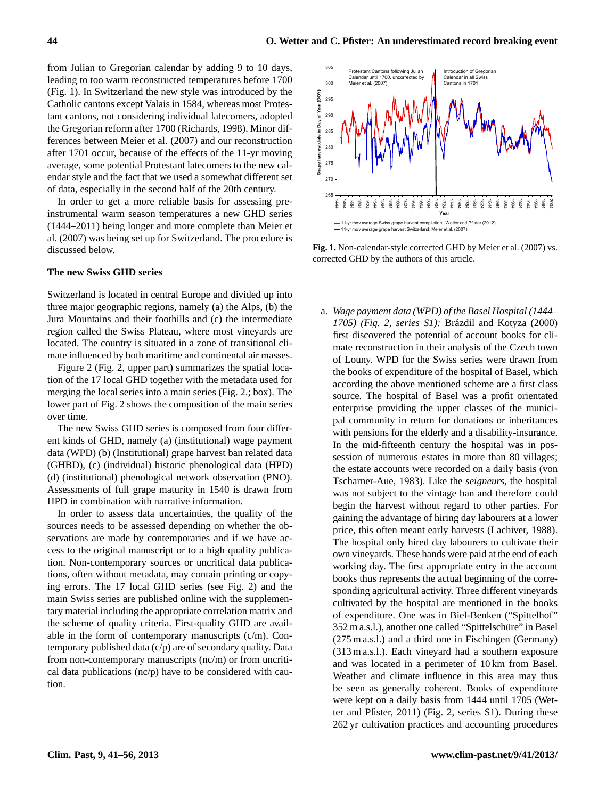from Julian to Gregorian calendar by adding 9 to 10 days, leading to too warm reconstructed temperatures before 1700 (Fig. 1). In Switzerland the new style was introduced by the Catholic cantons except Valais in 1584, whereas most Protestant cantons, not considering individual latecomers, adopted the Gregorian reform after 1700 (Richards, 1998). Minor differences between Meier et al. (2007) and our reconstruction after 1701 occur, because of the effects of the 11-yr moving average, some potential Protestant latecomers to the new calendar style and the fact that we used a somewhat different set of data, especially in the second half of the 20th century.

In order to get a more reliable basis for assessing preinstrumental warm season temperatures a new GHD series (1444–2011) being longer and more complete than Meier et al. (2007) was being set up for Switzerland. The procedure is discussed below.

# **The new Swiss GHD series**

Switzerland is located in central Europe and divided up into three major geographic regions, namely (a) the Alps, (b) the Jura Mountains and their foothills and (c) the intermediate region called the Swiss Plateau, where most vineyards are located. The country is situated in a zone of transitional climate influenced by both maritime and continental air masses.

Figure 2 (Fig. 2, upper part) summarizes the spatial location of the 17 local GHD together with the metadata used for merging the local series into a main series (Fig. 2.; box). The lower part of Fig. 2 shows the composition of the main series over time.

The new Swiss GHD series is composed from four different kinds of GHD, namely (a) (institutional) wage payment data (WPD) (b) (Institutional) grape harvest ban related data (GHBD), (c) (individual) historic phenological data (HPD) (d) (institutional) phenological network observation (PNO). Assessments of full grape maturity in 1540 is drawn from HPD in combination with narrative information.

In order to assess data uncertainties, the quality of the sources needs to be assessed depending on whether the observations are made by contemporaries and if we have access to the original manuscript or to a high quality publication. Non-contemporary sources or uncritical data publications, often without metadata, may contain printing or copying errors. The 17 local GHD series (see Fig. 2) and the main Swiss series are published online with the supplementary material including the appropriate correlation matrix and the scheme of quality criteria. First-quality GHD are available in the form of contemporary manuscripts (c/m). Contemporary published data (c/p) are of secondary quality. Data from non-contemporary manuscripts (nc/m) or from uncritical data publications (nc/p) have to be considered with caution.



Fig. 1. Non-calendar-style corrected GHD by Meier et al. (2007) vs. **The new Swiss GHD series**  corrected GHD by the authors of this article.

a. *Wage payment data (WPD) of the Basel Hospital (1444–* 1705) (Fig. 2, series S1): Brázdil and Kotyza (2000) first discovered the potential of account books for climate reconstruction in their analysis of the Czech town of Louny. WPD for the Swiss series were drawn from the books of expenditure of the hospital of Basel, which according the above mentioned scheme are a first class source. The hospital of Basel was a profit orientated enterprise providing the upper classes of the municipal community in return for donations or inheritances with pensions for the elderly and a disability-insurance. In the mid-fifteenth century the hospital was in possession of numerous estates in more than 80 villages; the estate accounts were recorded on a daily basis (von Tscharner-Aue, 1983). Like the *seigneurs*, the hospital was not subject to the vintage ban and therefore could begin the harvest without regard to other parties. For gaining the advantage of hiring day labourers at a lower price, this often meant early harvests (Lachiver, 1988). The hospital only hired day labourers to cultivate their own vineyards. These hands were paid at the end of each working day. The first appropriate entry in the account books thus represents the actual beginning of the corresponding agricultural activity. Three different vineyards cultivated by the hospital are mentioned in the books of expenditure. One was in Biel-Benken ("Spittelhof" 352 m a.s.l.), another one called "Spittelschüre" in Basel (275 m a.s.l.) and a third one in Fischingen (Germany) (313 m a.s.l.). Each vineyard had a southern exposure and was located in a perimeter of 10 km from Basel. Weather and climate influence in this area may thus be seen as generally coherent. Books of expenditure were kept on a daily basis from 1444 until 1705 (Wetter and Pfister, 2011) (Fig. 2, series S1). During these 262 yr cultivation practices and accounting procedures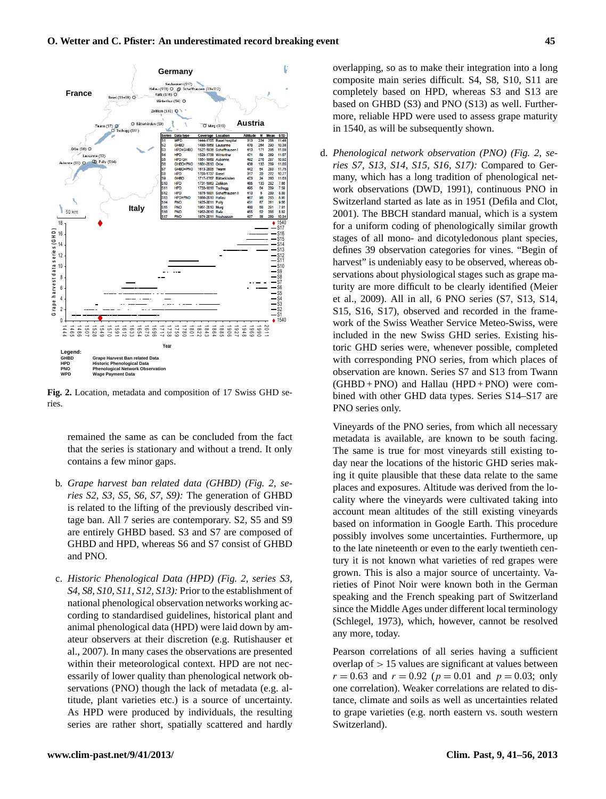

Fig. 2. Location, metadata and composition of 17 Swiss GHD se- $T_{\rm H}$  sees. ries.

remained the same as can be concluded from the fact that the series is stationary and without a trend. It only contains a few minor gaps.

- b. *Grape harvest ban related data (GHBD) (Fig. 2, series S2, S3, S5, S6, S7, S9):* The generation of GHBD is related to the lifting of the previously described vintage ban. All 7 series are contemporary. S2, S5 and S9 are entirely GHBD based. S3 and S7 are composed of GHBD and HPD, whereas S6 and S7 consist of GHBD and PNO.
- c. *Historic Phenological Data (HPD) (Fig. 2, series S3, S4, S8, S10, S11, S12, S13):* Prior to the establishment of national phenological observation networks working according to standardised guidelines, historical plant and animal phenological data (HPD) were laid down by amateur observers at their discretion (e.g. Rutishauser et al., 2007). In many cases the observations are presented within their meteorological context. HPD are not necessarily of lower quality than phenological network observations (PNO) though the lack of metadata (e.g. altitude, plant varieties etc.) is a source of uncertainty. As HPD were produced by individuals, the resulting series are rather short, spatially scattered and hardly

overlapping, so as to make their integration into a long composite main series difficult. S4, S8, S10, S11 are completely based on HPD, whereas S3 and S13 are based on GHBD (S3) and PNO (S13) as well. Furthermore, reliable HPD were used to assess grape maturity in 1540, as will be subsequently shown.

d. *Phenological network observation (PNO) (Fig. 2, series S7, S13, S14, S15, S16, S17):* Compared to Germany, which has a long tradition of phenological network observations (DWD, 1991), continuous PNO in Switzerland started as late as in 1951 (Defila and Clot, 2001). The BBCH standard manual, which is a system for a uniform coding of phenologically similar growth stages of all mono- and dicotyledonous plant species, defines 39 observation categories for vines. "Begin of harvest" is undeniably easy to be observed, whereas observations about physiological stages such as grape maturity are more difficult to be clearly identified (Meier et al., 2009). All in all, 6 PNO series (S7, S13, S14, S15, S16, S17), observed and recorded in the framework of the Swiss Weather Service Meteo-Swiss, were included in the new Swiss GHD series. Existing historic GHD series were, whenever possible, completed with corresponding PNO series, from which places of observation are known. Series S7 and S13 from Twann  $(GHBD + PNO)$  and Hallau  $(HPD + PNO)$  were combined with other GHD data types. Series S14–S17 are PNO series only.

Vineyards of the PNO series, from which all necessary metadata is available, are known to be south facing. The same is true for most vineyards still existing today near the locations of the historic GHD series making it quite plausible that these data relate to the same places and exposures. Altitude was derived from the locality where the vineyards were cultivated taking into account mean altitudes of the still existing vineyards based on information in Google Earth. This procedure possibly involves some uncertainties. Furthermore, up to the late nineteenth or even to the early twentieth century it is not known what varieties of red grapes were grown. This is also a major source of uncertainty. Varieties of Pinot Noir were known both in the German speaking and the French speaking part of Switzerland since the Middle Ages under different local terminology (Schlegel, 1973), which, however, cannot be resolved any more, today.

Pearson correlations of all series having a sufficient overlap of  $> 15$  values are significant at values between  $r = 0.63$  and  $r = 0.92$  ( $p = 0.01$  and  $p = 0.03$ ; only one correlation). Weaker correlations are related to distance, climate and soils as well as uncertainties related to grape varieties (e.g. north eastern vs. south western Switzerland).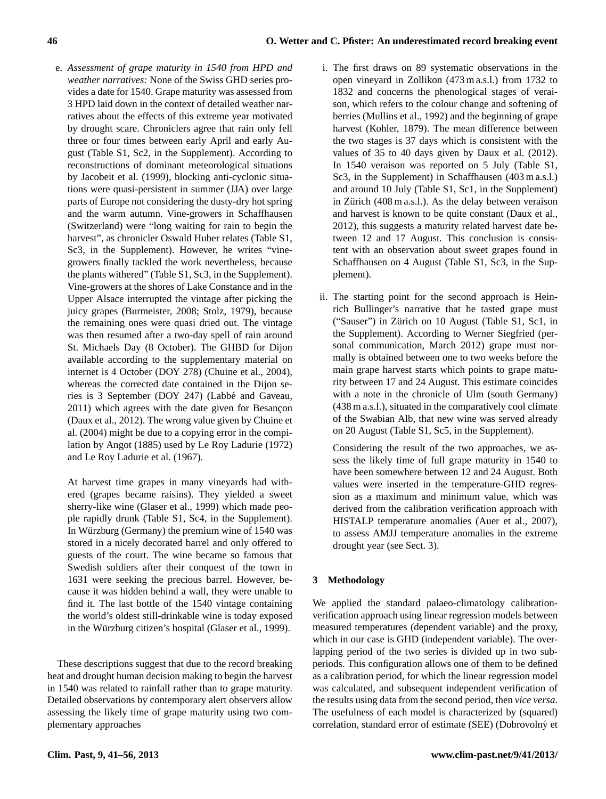e. *Assessment of grape maturity in 1540 from HPD and weather narratives:* None of the Swiss GHD series provides a date for 1540. Grape maturity was assessed from 3 HPD laid down in the context of detailed weather narratives about the effects of this extreme year motivated by drought scare. Chroniclers agree that rain only fell three or four times between early April and early August (Table S1, Sc2, in the Supplement). According to reconstructions of dominant meteorological situations by Jacobeit et al. (1999), blocking anti-cyclonic situations were quasi-persistent in summer (JJA) over large parts of Europe not considering the dusty-dry hot spring and the warm autumn. Vine-growers in Schaffhausen (Switzerland) were "long waiting for rain to begin the harvest", as chronicler Oswald Huber relates (Table S1, Sc3, in the Supplement). However, he writes "vinegrowers finally tackled the work nevertheless, because the plants withered" (Table S1, Sc3, in the Supplement). Vine-growers at the shores of Lake Constance and in the Upper Alsace interrupted the vintage after picking the juicy grapes (Burmeister, 2008; Stolz, 1979), because the remaining ones were quasi dried out. The vintage was then resumed after a two-day spell of rain around St. Michaels Day (8 October). The GHBD for Dijon available according to the supplementary material on internet is 4 October (DOY 278) (Chuine et al., 2004), whereas the corrected date contained in the Dijon series is 3 September (DOY 247) (Labbé and Gaveau, 2011) which agrees with the date given for Besancon (Daux et al., 2012). The wrong value given by Chuine et al. (2004) might be due to a copying error in the compilation by Angot (1885) used by Le Roy Ladurie (1972) and Le Roy Ladurie et al. (1967).

At harvest time grapes in many vineyards had withered (grapes became raisins). They yielded a sweet sherry-like wine (Glaser et al., 1999) which made people rapidly drunk (Table S1, Sc4, in the Supplement). In Würzburg (Germany) the premium wine of 1540 was stored in a nicely decorated barrel and only offered to guests of the court. The wine became so famous that Swedish soldiers after their conquest of the town in 1631 were seeking the precious barrel. However, because it was hidden behind a wall, they were unable to find it. The last bottle of the 1540 vintage containing the world's oldest still-drinkable wine is today exposed in the Würzburg citizen's hospital (Glaser et al., 1999).

These descriptions suggest that due to the record breaking heat and drought human decision making to begin the harvest in 1540 was related to rainfall rather than to grape maturity. Detailed observations by contemporary alert observers allow assessing the likely time of grape maturity using two complementary approaches

- i. The first draws on 89 systematic observations in the open vineyard in Zollikon (473 m a.s.l.) from 1732 to 1832 and concerns the phenological stages of veraison, which refers to the colour change and softening of berries (Mullins et al., 1992) and the beginning of grape harvest (Kohler, 1879). The mean difference between the two stages is 37 days which is consistent with the values of 35 to 40 days given by Daux et al. (2012). In 1540 veraison was reported on 5 July (Table S1, Sc3, in the Supplement) in Schaffhausen (403 m a.s.l.) and around 10 July (Table S1, Sc1, in the Supplement) in Zürich  $(408 \text{ m a.s.}!)$ . As the delay between veraison and harvest is known to be quite constant (Daux et al., 2012), this suggests a maturity related harvest date between 12 and 17 August. This conclusion is consistent with an observation about sweet grapes found in Schaffhausen on 4 August (Table S1, Sc3, in the Supplement).
- ii. The starting point for the second approach is Heinrich Bullinger's narrative that he tasted grape must ("Sauser") in Zürich on 10 August (Table S1, Sc1, in the Supplement). According to Werner Siegfried (personal communication, March 2012) grape must normally is obtained between one to two weeks before the main grape harvest starts which points to grape maturity between 17 and 24 August. This estimate coincides with a note in the chronicle of Ulm (south Germany) (438 m a.s.l.), situated in the comparatively cool climate of the Swabian Alb, that new wine was served already on 20 August (Table S1, Sc5, in the Supplement).

Considering the result of the two approaches, we assess the likely time of full grape maturity in 1540 to have been somewhere between 12 and 24 August. Both values were inserted in the temperature-GHD regression as a maximum and minimum value, which was derived from the calibration verification approach with HISTALP temperature anomalies (Auer et al., 2007), to assess AMJJ temperature anomalies in the extreme drought year (see Sect. 3).

# **3 Methodology**

We applied the standard palaeo-climatology calibrationverification approach using linear regression models between measured temperatures (dependent variable) and the proxy, which in our case is GHD (independent variable). The overlapping period of the two series is divided up in two subperiods. This configuration allows one of them to be defined as a calibration period, for which the linear regression model was calculated, and subsequent independent verification of the results using data from the second period, then *vice versa*. The usefulness of each model is characterized by (squared) correlation, standard error of estimate (SEE) (Dobrovolný et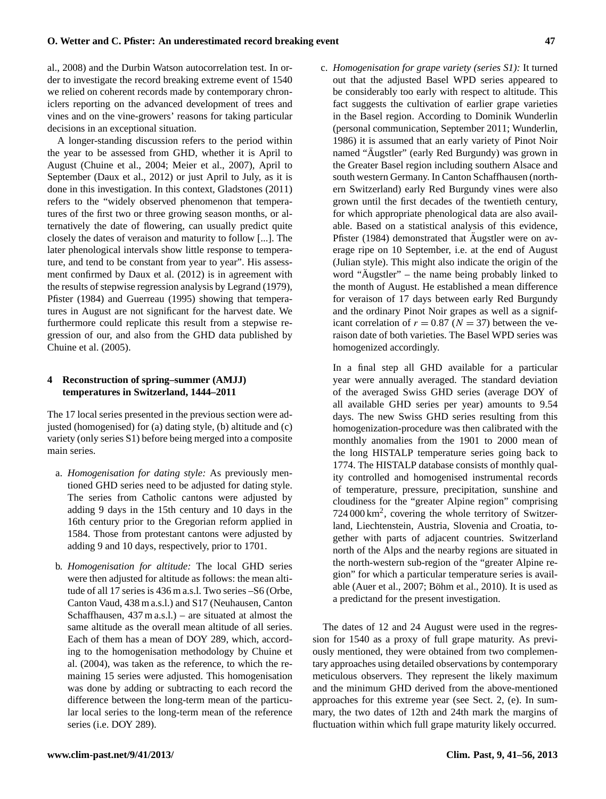# al., 2008) and the Durbin Watson autocorrelation test. In order to investigate the record breaking extreme event of 1540 we relied on coherent records made by contemporary chroniclers reporting on the advanced development of trees and vines and on the vine-growers' reasons for taking particular decisions in an exceptional situation.

A longer-standing discussion refers to the period within the year to be assessed from GHD, whether it is April to August (Chuine et al., 2004; Meier et al., 2007), April to September (Daux et al., 2012) or just April to July, as it is done in this investigation. In this context, Gladstones (2011) refers to the "widely observed phenomenon that temperatures of the first two or three growing season months, or alternatively the date of flowering, can usually predict quite closely the dates of veraison and maturity to follow [...]. The later phenological intervals show little response to temperature, and tend to be constant from year to year". His assessment confirmed by Daux et al. (2012) is in agreement with the results of stepwise regression analysis by Legrand (1979), Pfister (1984) and Guerreau (1995) showing that temperatures in August are not significant for the harvest date. We furthermore could replicate this result from a stepwise regression of our, and also from the GHD data published by Chuine et al. (2005).

# **4 Reconstruction of spring–summer (AMJJ) temperatures in Switzerland, 1444–2011**

The 17 local series presented in the previous section were adjusted (homogenised) for (a) dating style, (b) altitude and (c) variety (only series S1) before being merged into a composite main series.

- a. *Homogenisation for dating style:* As previously mentioned GHD series need to be adjusted for dating style. The series from Catholic cantons were adjusted by adding 9 days in the 15th century and 10 days in the 16th century prior to the Gregorian reform applied in 1584. Those from protestant cantons were adjusted by adding 9 and 10 days, respectively, prior to 1701.
- b. *Homogenisation for altitude:* The local GHD series were then adjusted for altitude as follows: the mean altitude of all 17 series is 436 m a.s.l. Two series –S6 (Orbe, Canton Vaud, 438 m a.s.l.) and S17 (Neuhausen, Canton Schaffhausen,  $437 \text{ m a.s.}$  a.s.  $\mu$ ) – are situated at almost the same altitude as the overall mean altitude of all series. Each of them has a mean of DOY 289, which, according to the homogenisation methodology by Chuine et al. (2004), was taken as the reference, to which the remaining 15 series were adjusted. This homogenisation was done by adding or subtracting to each record the difference between the long-term mean of the particular local series to the long-term mean of the reference series (i.e. DOY 289).

c. *Homogenisation for grape variety (series S1):* It turned out that the adjusted Basel WPD series appeared to be considerably too early with respect to altitude. This fact suggests the cultivation of earlier grape varieties in the Basel region. According to Dominik Wunderlin (personal communication, September 2011; Wunderlin, 1986) it is assumed that an early variety of Pinot Noir named "Äugstler" (early Red Burgundy) was grown in the Greater Basel region including southern Alsace and south western Germany. In Canton Schaffhausen (northern Switzerland) early Red Burgundy vines were also grown until the first decades of the twentieth century, for which appropriate phenological data are also available. Based on a statistical analysis of this evidence, Pfister (1984) demonstrated that Äugstler were on average ripe on 10 September, i.e. at the end of August (Julian style). This might also indicate the origin of the word "Augstler" – the name being probably linked to the month of August. He established a mean difference for veraison of 17 days between early Red Burgundy and the ordinary Pinot Noir grapes as well as a significant correlation of  $r = 0.87$  ( $N = 37$ ) between the veraison date of both varieties. The Basel WPD series was homogenized accordingly.

In a final step all GHD available for a particular year were annually averaged. The standard deviation of the averaged Swiss GHD series (average DOY of all available GHD series per year) amounts to 9.54 days. The new Swiss GHD series resulting from this homogenization-procedure was then calibrated with the monthly anomalies from the 1901 to 2000 mean of the long HISTALP temperature series going back to 1774. The HISTALP database consists of monthly quality controlled and homogenised instrumental records of temperature, pressure, precipitation, sunshine and cloudiness for the "greater Alpine region" comprising 724 000 km<sup>2</sup> , covering the whole territory of Switzerland, Liechtenstein, Austria, Slovenia and Croatia, together with parts of adjacent countries. Switzerland north of the Alps and the nearby regions are situated in the north-western sub-region of the "greater Alpine region" for which a particular temperature series is available (Auer et al., 2007; Böhm et al., 2010). It is used as a predictand for the present investigation.

The dates of 12 and 24 August were used in the regression for 1540 as a proxy of full grape maturity. As previously mentioned, they were obtained from two complementary approaches using detailed observations by contemporary meticulous observers. They represent the likely maximum and the minimum GHD derived from the above-mentioned approaches for this extreme year (see Sect. 2, (e). In summary, the two dates of 12th and 24th mark the margins of fluctuation within which full grape maturity likely occurred.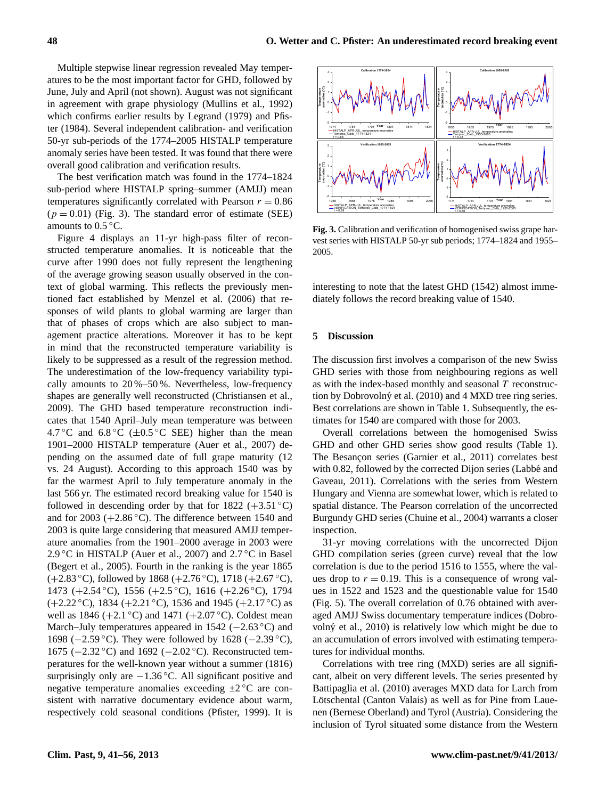Multiple stepwise linear regression revealed May temperatures to be the most important factor for GHD, followed by June, July and April (not shown). August was not significant in agreement with grape physiology (Mullins et al., 1992) which confirms earlier results by Legrand (1979) and Pfister (1984). Several independent calibration- and verification 50-yr sub-periods of the 1774–2005 HISTALP temperature anomaly series have been tested. It was found that there were overall good calibration and verification results.

The best verification match was found in the 1774–1824 sub-period where HISTALP spring–summer (AMJJ) mean temperatures significantly correlated with Pearson  $r = 0.86$  $(p = 0.01)$  (Fig. 3). The standard error of estimate (SEE) amounts to  $0.5\,^{\circ}\text{C}$ .

Figure 4 displays an 11-yr high-pass filter of reconstructed temperature anomalies. It is noticeable that the curve after 1990 does not fully represent the lengthening of the average growing season usually observed in the context of global warming. This reflects the previously mentioned fact established by Menzel et al. (2006) that responses of wild plants to global warming are larger than that of phases of crops which are also subject to management practice alterations. Moreover it has to be kept in mind that the reconstructed temperature variability is likely to be suppressed as a result of the regression method. The underestimation of the low-frequency variability typically amounts to 20 %–50 %. Nevertheless, low-frequency shapes are generally well reconstructed (Christiansen et al., 2009). The GHD based temperature reconstruction indicates that 1540 April–July mean temperature was between 4.7 °C and 6.8 °C ( $\pm$ 0.5 °C SEE) higher than the mean 1901–2000 HISTALP temperature (Auer et al., 2007) depending on the assumed date of full grape maturity (12 vs. 24 August). According to this approach 1540 was by far the warmest April to July temperature anomaly in the last 566 yr. The estimated record breaking value for 1540 is followed in descending order by that for  $1822 (+3.51 °C)$ and for 2003 ( $+2.86$ °C). The difference between 1540 and 2003 is quite large considering that measured AMJJ temperature anomalies from the 1901–2000 average in 2003 were 2.9 °C in HISTALP (Auer et al., 2007) and  $2.7$  °C in Basel (Begert et al., 2005). Fourth in the ranking is the year 1865 (+2.83 ◦C), followed by 1868 (+2.76 ◦C), 1718 (+2.67 ◦C), 1473 (+2.54 ◦C), 1556 (+2.5 ◦C), 1616 (+2.26 ◦C), 1794  $(+2.22 \degree C)$ , 1834  $(+2.21 \degree C)$ , 1536 and 1945  $(+2.17 \degree C)$  as well as 1846 (+2.1 °C) and 1471 (+2.07 °C). Coldest mean March–July temperatures appeared in 1542 ( $-2.63 \degree$ C) and 1698 (−2.59 ◦C). They were followed by 1628 (−2.39 ◦C), 1675 (−2.32 ◦C) and 1692 (−2.02 ◦C). Reconstructed temperatures for the well-known year without a summer (1816) surprisingly only are -1.36 °C. All significant positive and negative temperature anomalies exceeding  $\pm 2$  °C are consistent with narrative documentary evidence about warm, respectively cold seasonal conditions (Pfister, 1999). It is



Fig. 3. Calibration and verification of homogenised swiss grape harvest series with HISTALP 50-yr sub periods; 1774–1824 and 1955–  $\sim 0.005$ . 2005.

interesting to note that the latest GHD (1542) almost immediately follows the record breaking value of 1540.

#### **5 Discussion**

The discussion first involves a comparison of the new Swiss GHD series with those from neighbouring regions as well as with the index-based monthly and seasonal  $T$  reconstruction by Dobrovolný et al. (2010) and 4 MXD tree ring series. Best correlations are shown in Table 1. Subsequently, the estimates for 1540 are compared with those for 2003.

Overall correlations between the homogenised Swiss GHD and other GHD series show good results (Table 1). The Besançon series (Garnier et al., 2011) correlates best with 0.82, followed by the corrected Dijon series (Labbé and Gaveau, 2011). Correlations with the series from Western Hungary and Vienna are somewhat lower, which is related to spatial distance. The Pearson correlation of the uncorrected Burgundy GHD series (Chuine et al., 2004) warrants a closer inspection.

31-yr moving correlations with the uncorrected Dijon GHD compilation series (green curve) reveal that the low correlation is due to the period 1516 to 1555, where the values drop to  $r = 0.19$ . This is a consequence of wrong values in 1522 and 1523 and the questionable value for 1540 (Fig. 5). The overall correlation of 0.76 obtained with averaged AMJJ Swiss documentary temperature indices (Dobrovolný et al.,  $2010$ ) is relatively low which might be due to an accumulation of errors involved with estimating temperatures for individual months.

Correlations with tree ring (MXD) series are all significant, albeit on very different levels. The series presented by Battipaglia et al. (2010) averages MXD data for Larch from Lötschental (Canton Valais) as well as for Pine from Lauenen (Bernese Oberland) and Tyrol (Austria). Considering the inclusion of Tyrol situated some distance from the Western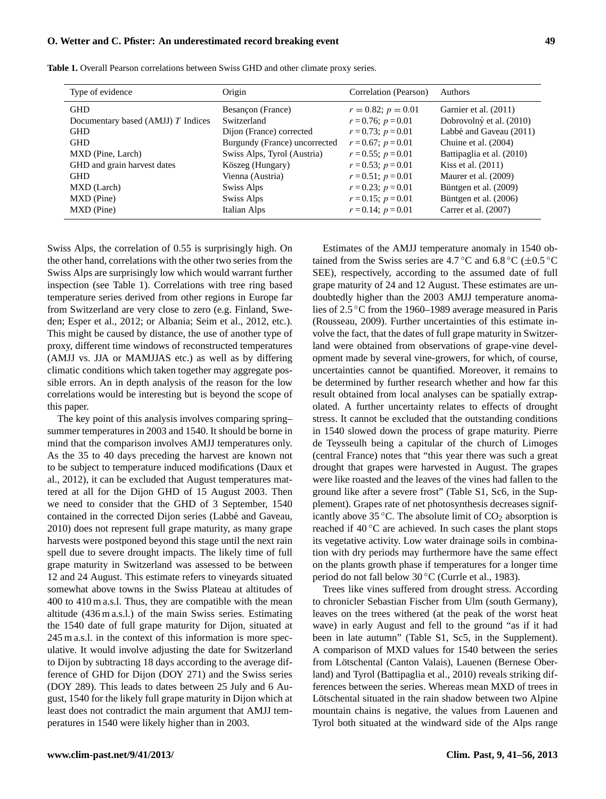| Type of evidence                     | Origin                        | Correlation (Pearson)   | <b>Authors</b>            |
|--------------------------------------|-------------------------------|-------------------------|---------------------------|
| <b>GHD</b>                           | Besançon (France)             | $r = 0.82$ ; $p = 0.01$ | Garnier et al. (2011)     |
| Documentary based (AMJJ) $T$ Indices | Switzerland                   | $r = 0.76$ ; $p = 0.01$ | Dobrovolný et al. (2010)  |
| <b>GHD</b>                           | Dijon (France) corrected      | $r = 0.73$ ; $p = 0.01$ | Labbé and Gaveau (2011)   |
| <b>GHD</b>                           | Burgundy (France) uncorrected | $r = 0.67$ ; $p = 0.01$ | Chuine et al. (2004)      |
| MXD (Pine, Larch)                    | Swiss Alps, Tyrol (Austria)   | $r = 0.55$ ; $p = 0.01$ | Battipaglia et al. (2010) |
| GHD and grain harvest dates          | Köszeg (Hungary)              | $r = 0.53$ ; $p = 0.01$ | Kiss et al. $(2011)$      |
| <b>GHD</b>                           | Vienna (Austria)              | $r = 0.51$ ; $p = 0.01$ | Maurer et al. (2009)      |
| MXD (Larch)                          | Swiss Alps                    | $r = 0.23$ ; $p = 0.01$ | Büntgen et al. (2009)     |
| MXD (Pine)                           | Swiss Alps                    | $r = 0.15$ ; $p = 0.01$ | Büntgen et al. (2006)     |
| MXD (Pine)                           | Italian Alps                  | $r = 0.14$ ; $p = 0.01$ | Carrer et al. (2007)      |

**Table 1.** Overall Pearson correlations between Swiss GHD and other climate proxy series.

Swiss Alps, the correlation of 0.55 is surprisingly high. On the other hand, correlations with the other two series from the Swiss Alps are surprisingly low which would warrant further inspection (see Table 1). Correlations with tree ring based temperature series derived from other regions in Europe far from Switzerland are very close to zero (e.g. Finland, Sweden; Esper et al., 2012; or Albania; Seim et al., 2012, etc.). This might be caused by distance, the use of another type of proxy, different time windows of reconstructed temperatures (AMJJ vs. JJA or MAMJJAS etc.) as well as by differing climatic conditions which taken together may aggregate possible errors. An in depth analysis of the reason for the low correlations would be interesting but is beyond the scope of this paper.

The key point of this analysis involves comparing spring– summer temperatures in 2003 and 1540. It should be borne in mind that the comparison involves AMJJ temperatures only. As the 35 to 40 days preceding the harvest are known not to be subject to temperature induced modifications (Daux et al., 2012), it can be excluded that August temperatures mattered at all for the Dijon GHD of 15 August 2003. Then we need to consider that the GHD of 3 September, 1540 contained in the corrected Dijon series (Labbé and Gaveau, 2010) does not represent full grape maturity, as many grape harvests were postponed beyond this stage until the next rain spell due to severe drought impacts. The likely time of full grape maturity in Switzerland was assessed to be between 12 and 24 August. This estimate refers to vineyards situated somewhat above towns in the Swiss Plateau at altitudes of 400 to 410 m a.s.l. Thus, they are compatible with the mean altitude (436 m a.s.l.) of the main Swiss series. Estimating the 1540 date of full grape maturity for Dijon, situated at 245 m a.s.l. in the context of this information is more speculative. It would involve adjusting the date for Switzerland to Dijon by subtracting 18 days according to the average difference of GHD for Dijon (DOY 271) and the Swiss series (DOY 289). This leads to dates between 25 July and 6 August, 1540 for the likely full grape maturity in Dijon which at least does not contradict the main argument that AMJJ temperatures in 1540 were likely higher than in 2003.

Estimates of the AMJJ temperature anomaly in 1540 obtained from the Swiss series are 4.7 °C and 6.8 °C ( $\pm$ 0.5 °C SEE), respectively, according to the assumed date of full grape maturity of 24 and 12 August. These estimates are undoubtedly higher than the 2003 AMJJ temperature anomalies of 2.5 ◦C from the 1960–1989 average measured in Paris (Rousseau, 2009). Further uncertainties of this estimate involve the fact, that the dates of full grape maturity in Switzerland were obtained from observations of grape-vine development made by several vine-growers, for which, of course, uncertainties cannot be quantified. Moreover, it remains to be determined by further research whether and how far this result obtained from local analyses can be spatially extrapolated. A further uncertainty relates to effects of drought stress. It cannot be excluded that the outstanding conditions in 1540 slowed down the process of grape maturity. Pierre de Teysseulh being a capitular of the church of Limoges (central France) notes that "this year there was such a great drought that grapes were harvested in August. The grapes were like roasted and the leaves of the vines had fallen to the ground like after a severe frost" (Table S1, Sc6, in the Supplement). Grapes rate of net photosynthesis decreases significantly above 35 °C. The absolute limit of  $CO<sub>2</sub>$  absorption is reached if 40 ◦C are achieved. In such cases the plant stops its vegetative activity. Low water drainage soils in combination with dry periods may furthermore have the same effect on the plants growth phase if temperatures for a longer time period do not fall below 30 ◦C (Currle et al., 1983).

Trees like vines suffered from drought stress. According to chronicler Sebastian Fischer from Ulm (south Germany), leaves on the trees withered (at the peak of the worst heat wave) in early August and fell to the ground "as if it had been in late autumn" (Table S1, Sc5, in the Supplement). A comparison of MXD values for 1540 between the series from Lötschental (Canton Valais), Lauenen (Bernese Oberland) and Tyrol (Battipaglia et al., 2010) reveals striking differences between the series. Whereas mean MXD of trees in Lötschental situated in the rain shadow between two Alpine mountain chains is negative, the values from Lauenen and Tyrol both situated at the windward side of the Alps range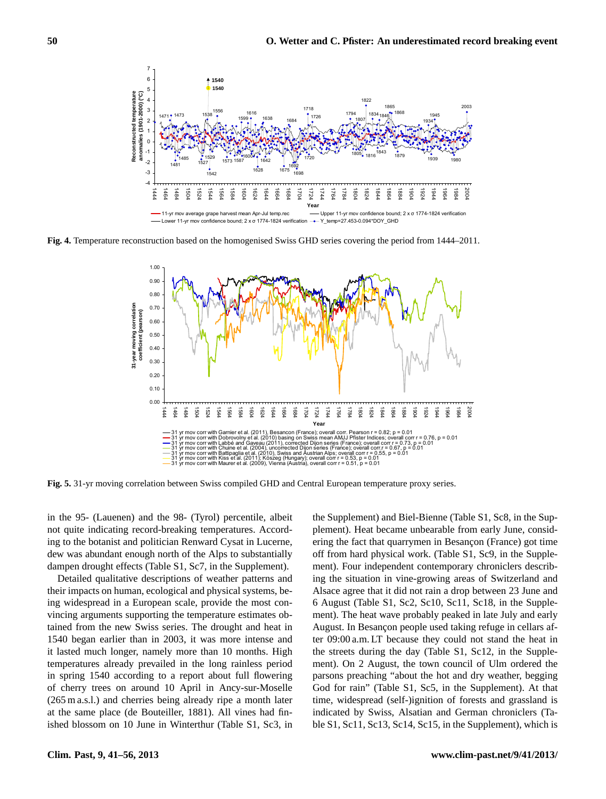

Fig. 4. Temperature reconstruction based on the homogenised Swiss GHD series covering the period from 1444-2011.



Fig. 5. 31-yr moving correlation between Swiss compiled GHD and Central European temperature proxy series.

in the 95- (Lauenen) and the 98- (Tyrol) percentile, albeit the Supplement) and Biel-Bienne (Table not quite indicating record-breaking temperatures. Accord-<br>
plement). Heat became unbearable from dampen drought effects (Table S1, Sc7, in the Supplement). The ment). Four independent contemporary ing to the botanist and politician Renward Cysat in Lucerne, dew was abundant enough north of the Alps to substantially

Detailed qualitative descriptions of weather patterns and ing the situation in vine-growing areas their impacts on human, ecological and physical systems, be-<br>Alsace agree that it did not rain a drop b For the 1628 Center of the 1692 (Cherrica), 1675, 1675, 1682 (-2.39), 1675, 1682 (-2.02 °C), 1692 (-2.39 °C), 1693 (-2.39 °C). The heat wave probably peaked in ing widespread in a European scale, provide the most contained from the new Swiss series. The drought and heat in 1540 began earlier than in 2003, it was more intense and it lasted much longer, namely more than 10 months. High temperatures already prevailed in the long rainless period in spring 1540 according to a report about full flowering of cherry trees on around 10 April in Ancy-sur-Moselle (265 m a.s.l.) and cherries being already ripe a month later at the same place (de Bouteiller, 1881). All vines had finished blossom on 10 June in Winterthur (Table S1, Sc3, in

nd politician Renward Cysat in Lucerne, ering the fact that quarrymen in Besançon (France) got time n) and the 98- (Tyrol) percentile, albeit the Supplement) and Biel-Bienne (Table S1, Sc8, in the Suprecord-breaking temperatures. Accord-<br>
plement). Heat became unbearable from early June, considve descriptions of weather patterns and ing the situation in vine-growing areas of Switzerland and nan, ecological and physical systems, be-<br>Alsace agree that it did not rain a drop between 23 June and European scale, provide the most con-<br>6 August (Table S1, Sc2, Sc10, Sc11, Sc18, in the Supple-Whiss series. The drought and heat in August. In Besancon people used taking refuge in cellars afthan in 2003, it was more intense and ter  $09:00$  a.m. LT because they could not stand the heat in er, namely more than 10 months. High. the streets during the day (Table S1, Sc12, in the Suppleording to a report about full flowering parsons preaching "about the hot and dry weather, begging around 10 April in Ancy-sur-Moselle God for rain" (Table S1, Sc5, in the Supplement). At that herries being already ripe a month later time, widespread (self-)ignition of forests and grassland is  $\frac{1}{20}$  are boutener, 1001). This might and the migration by distance-of-, the migration of the Supplement, which is off from hard physical work. (Table S1, Sc9, in the Supplement). Four independent contemporary chroniclers describment). The heat wave probably peaked in late July and early ment). On 2 August, the town council of Ulm ordered the indicated by Swiss, Alsatian and German chroniclers (Ta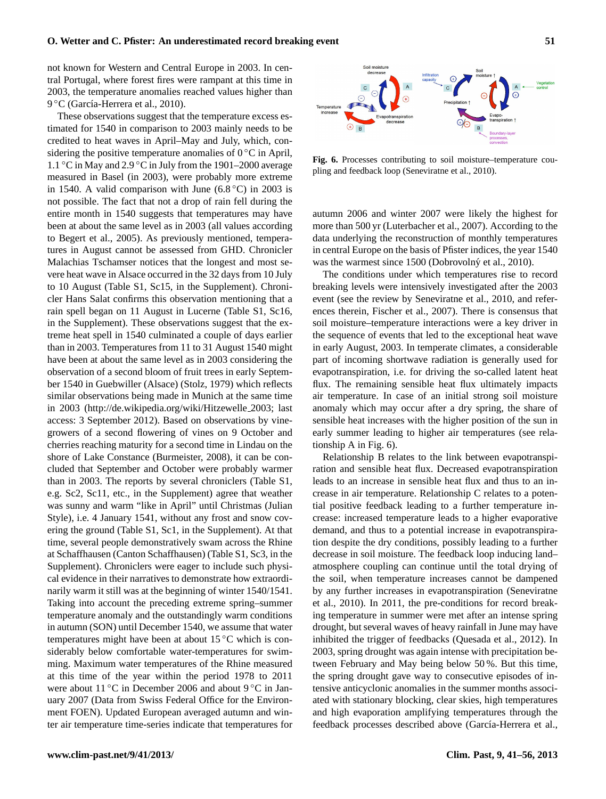not known for Western and Central Europe in 2003. In central Portugal, where forest fires were rampant at this time in 2003, the temperature anomalies reached values higher than 9 °C (García-Herrera et al., 2010).

These observations suggest that the temperature excess estimated for 1540 in comparison to 2003 mainly needs to be credited to heat waves in April–May and July, which, considering the positive temperature anomalies of  $0^{\circ}$ C in April, 1.1 ◦C in May and 2.9 ◦C in July from the 1901–2000 average measured in Basel (in 2003), were probably more extreme in 1540. A valid comparison with June  $(6.8 \degree C)$  in 2003 is not possible. The fact that not a drop of rain fell during the entire month in 1540 suggests that temperatures may have been at about the same level as in 2003 (all values according to Begert et al., 2005). As previously mentioned, temperatures in August cannot be assessed from GHD. Chronicler Malachias Tschamser notices that the longest and most severe heat wave in Alsace occurred in the 32 days from 10 July to 10 August (Table S1, Sc15, in the Supplement). Chronicler Hans Salat confirms this observation mentioning that a rain spell began on 11 August in Lucerne (Table S1, Sc16, in the Supplement). These observations suggest that the extreme heat spell in 1540 culminated a couple of days earlier than in 2003. Temperatures from 11 to 31 August 1540 might have been at about the same level as in 2003 considering the observation of a second bloom of fruit trees in early September 1540 in Guebwiller (Alsace) (Stolz, 1979) which reflects similar observations being made in Munich at the same time in 2003 [\(http://de.wikipedia.org/wiki/Hitzewelle](http://de.wikipedia.org/wiki/Hitzewelle_2003) 2003; last access: 3 September 2012). Based on observations by vinegrowers of a second flowering of vines on 9 October and cherries reaching maturity for a second time in Lindau on the shore of Lake Constance (Burmeister, 2008), it can be concluded that September and October were probably warmer than in 2003. The reports by several chroniclers (Table S1, e.g. Sc2, Sc11, etc., in the Supplement) agree that weather was sunny and warm "like in April" until Christmas (Julian Style), i.e. 4 January 1541, without any frost and snow covering the ground (Table S1, Sc1, in the Supplement). At that time, several people demonstratively swam across the Rhine at Schaffhausen (Canton Schaffhausen) (Table S1, Sc3, in the Supplement). Chroniclers were eager to include such physical evidence in their narratives to demonstrate how extraordinarily warm it still was at the beginning of winter 1540/1541. Taking into account the preceding extreme spring–summer temperature anomaly and the outstandingly warm conditions in autumn (SON) until December 1540, we assume that water temperatures might have been at about  $15^{\circ}$ C which is considerably below comfortable water-temperatures for swimming. Maximum water temperatures of the Rhine measured at this time of the year within the period 1978 to 2011 were about 11 °C in December 2006 and about 9 °C in January 2007 (Data from Swiss Federal Office for the Environment FOEN). Updated European averaged autumn and winter air temperature time-series indicate that temperatures for



pling and feedback loop (Seneviratne et al., 2010). **Fig. 6.** Processes contributing to soil moisture–temperature cou-

autumn 2006 and winter 2007 were likely the highest for more than 500 yr (Luterbacher et al., 2007). According to the further dual  $\cos \frac{1}{2}$ . (European at can,  $\sin \frac{1}{2}$ ,  $\sin \frac{1}{2}$ ,  $\sin \frac{1}{2}$ ,  $\sin \frac{1}{2}$ ,  $\sin \frac{1}{2}$ ,  $\sin \frac{1}{2}$ ,  $\sin \frac{1}{2}$ can underlying the reconstruction of monthly temperatures in central Europe on the basis of Pfister indices, the year 1540 was the warmest since 1500 (Dobrovolný et al., 2010).

The conditions under which temperatures rise to record breaking levels were intensively investigated after the 2003 event (see the review by Seneviratne et al., 2010, and references therein, Fischer et al., 2007). There is consensus that soil moisture–temperature interactions were a key driver in the sequence of events that led to the exceptional heat wave in early August, 2003. In temperate climates, a considerable part of incoming shortwave radiation is generally used for evapotranspiration, i.e. for driving the so-called latent heat flux. The remaining sensible heat flux ultimately impacts air temperature. In case of an initial strong soil moisture anomaly which may occur after a dry spring, the share of sensible heat increases with the higher position of the sun in early summer leading to higher air temperatures (see relationship A in Fig. 6).

Relationship B relates to the link between evapotranspiration and sensible heat flux. Decreased evapotranspiration leads to an increase in sensible heat flux and thus to an increase in air temperature. Relationship C relates to a potential positive feedback leading to a further temperature increase: increased temperature leads to a higher evaporative demand, and thus to a potential increase in evapotranspiration despite the dry conditions, possibly leading to a further decrease in soil moisture. The feedback loop inducing land– atmosphere coupling can continue until the total drying of the soil, when temperature increases cannot be dampened by any further increases in evapotranspiration (Seneviratne et al., 2010). In 2011, the pre-conditions for record breaking temperature in summer were met after an intense spring drought, but several waves of heavy rainfall in June may have inhibited the trigger of feedbacks (Quesada et al., 2012). In 2003, spring drought was again intense with precipitation between February and May being below 50 %. But this time, the spring drought gave way to consecutive episodes of intensive anticyclonic anomalies in the summer months associated with stationary blocking, clear skies, high temperatures and high evaporation amplifying temperatures through the feedback processes described above (García-Herrera et al.,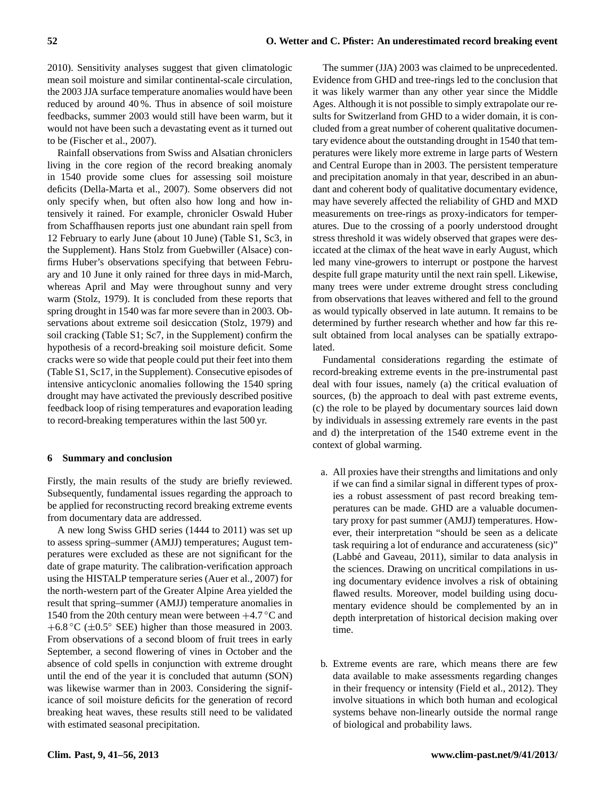2010). Sensitivity analyses suggest that given climatologic mean soil moisture and similar continental-scale circulation, the 2003 JJA surface temperature anomalies would have been reduced by around 40 %. Thus in absence of soil moisture feedbacks, summer 2003 would still have been warm, but it would not have been such a devastating event as it turned out to be (Fischer et al., 2007).

Rainfall observations from Swiss and Alsatian chroniclers living in the core region of the record breaking anomaly in 1540 provide some clues for assessing soil moisture deficits (Della-Marta et al., 2007). Some observers did not only specify when, but often also how long and how intensively it rained. For example, chronicler Oswald Huber from Schaffhausen reports just one abundant rain spell from 12 February to early June (about 10 June) (Table S1, Sc3, in the Supplement). Hans Stolz from Guebwiller (Alsace) confirms Huber's observations specifying that between February and 10 June it only rained for three days in mid-March, whereas April and May were throughout sunny and very warm (Stolz, 1979). It is concluded from these reports that spring drought in 1540 was far more severe than in 2003. Observations about extreme soil desiccation (Stolz, 1979) and soil cracking (Table S1; Sc7, in the Supplement) confirm the hypothesis of a record-breaking soil moisture deficit. Some cracks were so wide that people could put their feet into them (Table S1, Sc17, in the Supplement). Consecutive episodes of intensive anticyclonic anomalies following the 1540 spring drought may have activated the previously described positive feedback loop of rising temperatures and evaporation leading to record-breaking temperatures within the last 500 yr.

#### **6 Summary and conclusion**

Firstly, the main results of the study are briefly reviewed. Subsequently, fundamental issues regarding the approach to be applied for reconstructing record breaking extreme events from documentary data are addressed.

A new long Swiss GHD series (1444 to 2011) was set up to assess spring–summer (AMJJ) temperatures; August temperatures were excluded as these are not significant for the date of grape maturity. The calibration-verification approach using the HISTALP temperature series (Auer et al., 2007) for the north-western part of the Greater Alpine Area yielded the result that spring–summer (AMJJ) temperature anomalies in 1540 from the 20th century mean were between  $+4.7$  °C and  $+6.8 \degree C \ (\pm 0.5 \degree \ \text{SEE})$  higher than those measured in 2003. From observations of a second bloom of fruit trees in early September, a second flowering of vines in October and the absence of cold spells in conjunction with extreme drought until the end of the year it is concluded that autumn (SON) was likewise warmer than in 2003. Considering the significance of soil moisture deficits for the generation of record breaking heat waves, these results still need to be validated with estimated seasonal precipitation.

The summer (JJA) 2003 was claimed to be unprecedented. Evidence from GHD and tree-rings led to the conclusion that it was likely warmer than any other year since the Middle Ages. Although it is not possible to simply extrapolate our results for Switzerland from GHD to a wider domain, it is concluded from a great number of coherent qualitative documentary evidence about the outstanding drought in 1540 that temperatures were likely more extreme in large parts of Western and Central Europe than in 2003. The persistent temperature and precipitation anomaly in that year, described in an abundant and coherent body of qualitative documentary evidence, may have severely affected the reliability of GHD and MXD measurements on tree-rings as proxy-indicators for temperatures. Due to the crossing of a poorly understood drought stress threshold it was widely observed that grapes were desiccated at the climax of the heat wave in early August, which led many vine-growers to interrupt or postpone the harvest despite full grape maturity until the next rain spell. Likewise, many trees were under extreme drought stress concluding from observations that leaves withered and fell to the ground as would typically observed in late autumn. It remains to be determined by further research whether and how far this result obtained from local analyses can be spatially extrapolated.

Fundamental considerations regarding the estimate of record-breaking extreme events in the pre-instrumental past deal with four issues, namely (a) the critical evaluation of sources, (b) the approach to deal with past extreme events, (c) the role to be played by documentary sources laid down by individuals in assessing extremely rare events in the past and d) the interpretation of the 1540 extreme event in the context of global warming.

- a. All proxies have their strengths and limitations and only if we can find a similar signal in different types of proxies a robust assessment of past record breaking temperatures can be made. GHD are a valuable documentary proxy for past summer (AMJJ) temperatures. However, their interpretation "should be seen as a delicate task requiring a lot of endurance and accurateness (sic)" (Labbe and Gaveau, 2011), similar to data analysis in ´ the sciences. Drawing on uncritical compilations in using documentary evidence involves a risk of obtaining flawed results. Moreover, model building using documentary evidence should be complemented by an in depth interpretation of historical decision making over time.
- b. Extreme events are rare, which means there are few data available to make assessments regarding changes in their frequency or intensity (Field et al., 2012). They involve situations in which both human and ecological systems behave non-linearly outside the normal range of biological and probability laws.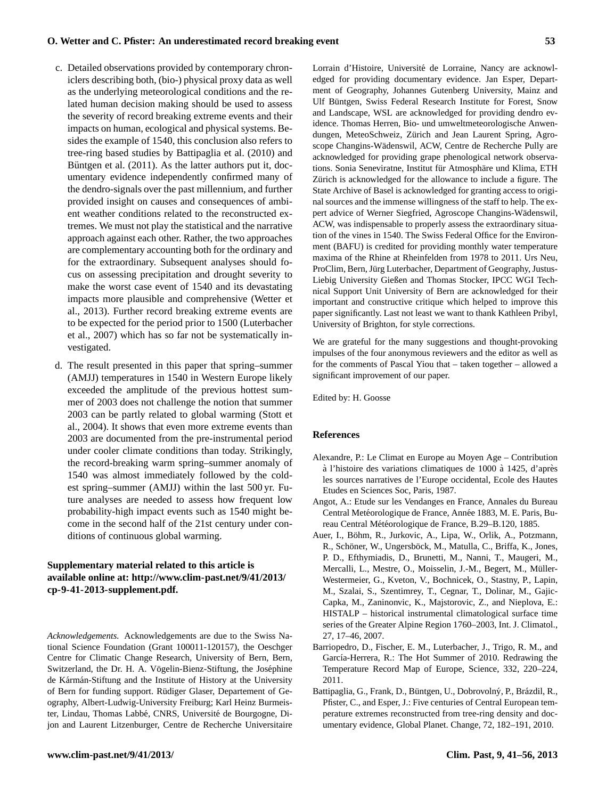- c. Detailed observations provided by contemporary chroniclers describing both, (bio-) physical proxy data as well as the underlying meteorological conditions and the related human decision making should be used to assess the severity of record breaking extreme events and their impacts on human, ecological and physical systems. Besides the example of 1540, this conclusion also refers to tree-ring based studies by Battipaglia et al. (2010) and Büntgen et al.  $(2011)$ . As the latter authors put it, documentary evidence independently confirmed many of the dendro-signals over the past millennium, and further provided insight on causes and consequences of ambient weather conditions related to the reconstructed extremes. We must not play the statistical and the narrative approach against each other. Rather, the two approaches are complementary accounting both for the ordinary and for the extraordinary. Subsequent analyses should focus on assessing precipitation and drought severity to make the worst case event of 1540 and its devastating impacts more plausible and comprehensive (Wetter et al., 2013). Further record breaking extreme events are to be expected for the period prior to 1500 (Luterbacher et al., 2007) which has so far not be systematically investigated.
- d. The result presented in this paper that spring–summer (AMJJ) temperatures in 1540 in Western Europe likely exceeded the amplitude of the previous hottest summer of 2003 does not challenge the notion that summer 2003 can be partly related to global warming (Stott et al., 2004). It shows that even more extreme events than 2003 are documented from the pre-instrumental period under cooler climate conditions than today. Strikingly, the record-breaking warm spring–summer anomaly of 1540 was almost immediately followed by the coldest spring–summer (AMJJ) within the last 500 yr. Future analyses are needed to assess how frequent low probability-high impact events such as 1540 might become in the second half of the 21st century under conditions of continuous global warming.

## **Supplementary material related to this article is available online at: [http://www.clim-past.net/9/41/2013/](http://www.clim-past.net/9/41/2013/cp-9-41-2013-supplement.pdf) [cp-9-41-2013-supplement.pdf.](http://www.clim-past.net/9/41/2013/cp-9-41-2013-supplement.pdf)**

*Acknowledgements.* Acknowledgements are due to the Swiss National Science Foundation (Grant 100011-120157), the Oeschger Centre for Climatic Change Research, University of Bern, Bern, Switzerland, the Dr. H. A. Vögelin-Bienz-Stiftung, the Joséphine de Kármán-Stiftung and the Institute of History at the University of Bern for funding support. Rudiger Glaser, Departement of Ge- ¨ ography, Albert-Ludwig-University Freiburg; Karl Heinz Burmeister, Lindau, Thomas Labbé, CNRS, Université de Bourgogne, Dijon and Laurent Litzenburger, Centre de Recherche Universitaire Lorrain d'Histoire, Université de Lorraine, Nancy are acknowledged for providing documentary evidence. Jan Esper, Department of Geography, Johannes Gutenberg University, Mainz and Ulf Buntgen, Swiss Federal Research Institute for Forest, Snow ¨ and Landscape, WSL are acknowledged for providing dendro evidence. Thomas Herren, Bio- und umweltmeteorologische Anwendungen, MeteoSchweiz, Zürich and Jean Laurent Spring, Agroscope Changins-Wädenswil, ACW, Centre de Recherche Pully are acknowledged for providing grape phenological network observations. Sonia Seneviratne, Institut für Atmosphäre und Klima, ETH Zürich is acknowledged for the allowance to include a figure. The State Archive of Basel is acknowledged for granting access to original sources and the immense willingness of the staff to help. The expert advice of Werner Siegfried, Agroscope Changins-Wädenswil, ACW, was indispensable to properly assess the extraordinary situation of the vines in 1540. The Swiss Federal Office for the Environment (BAFU) is credited for providing monthly water temperature maxima of the Rhine at Rheinfelden from 1978 to 2011. Urs Neu, ProClim, Bern, Jürg Luterbacher, Department of Geography, Justus-Liebig University Gießen and Thomas Stocker, IPCC WGI Technical Support Unit University of Bern are acknowledged for their important and constructive critique which helped to improve this paper significantly. Last not least we want to thank Kathleen Pribyl, University of Brighton, for style corrections.

We are grateful for the many suggestions and thought-provoking impulses of the four anonymous reviewers and the editor as well as for the comments of Pascal Yiou that – taken together – allowed a significant improvement of our paper.

Edited by: H. Goosse

#### **References**

- Alexandre, P.: Le Climat en Europe au Moyen Age Contribution à l'histoire des variations climatiques de 1000 à 1425, d'après les sources narratives de l'Europe occidental, Ecole des Hautes Etudes en Sciences Soc, Paris, 1987.
- Angot, A.: Etude sur les Vendanges en France, Annales du Bureau Central Metéorologique de France, Année 1883, M. E. Paris, Bureau Central Météorologique de France, B.29–B.120, 1885.
- Auer, I., Böhm, R., Jurkovic, A., Lipa, W., Orlik, A., Potzmann, R., Schöner, W., Ungersböck, M., Matulla, C., Briffa, K., Jones, P. D., Efthymiadis, D., Brunetti, M., Nanni, T., Maugeri, M., Mercalli, L., Mestre, O., Moisselin, J.-M., Begert, M., Müller-Westermeier, G., Kveton, V., Bochnicek, O., Stastny, P., Lapin, M., Szalai, S., Szentimrey, T., Cegnar, T., Dolinar, M., Gajic-Capka, M., Zaninonvic, K., Majstorovic, Z., and Nieplova, E.: HISTALP – historical instrumental climatological surface time series of the Greater Alpine Region 1760–2003, Int. J. Climatol., 27, 17–46, 2007.
- Barriopedro, D., Fischer, E. M., Luterbacher, J., Trigo, R. M., and García-Herrera, R.: The Hot Summer of 2010. Redrawing the Temperature Record Map of Europe, Science, 332, 220–224, 2011.
- Battipaglia, G., Frank, D., Büntgen, U., Dobrovolný, P., Brázdil, R., Pfister, C., and Esper, J.: Five centuries of Central European temperature extremes reconstructed from tree-ring density and documentary evidence, Global Planet. Change, 72, 182–191, 2010.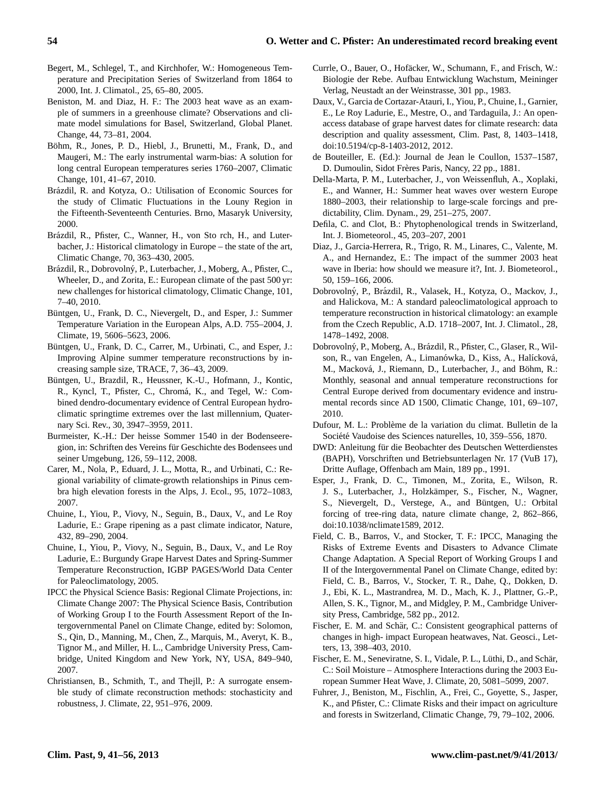- Begert, M., Schlegel, T., and Kirchhofer, W.: Homogeneous Temperature and Precipitation Series of Switzerland from 1864 to 2000, Int. J. Climatol., 25, 65–80, 2005.
- Beniston, M. and Diaz, H. F.: The 2003 heat wave as an example of summers in a greenhouse climate? Observations and climate model simulations for Basel, Switzerland, Global Planet. Change, 44, 73–81, 2004.
- Böhm, R., Jones, P. D., Hiebl, J., Brunetti, M., Frank, D., and Maugeri, M.: The early instrumental warm-bias: A solution for long central European temperatures series 1760–2007, Climatic Change, 101, 41–67, 2010.
- Brázdil, R. and Kotyza, O.: Utilisation of Economic Sources for the study of Climatic Fluctuations in the Louny Region in the Fifteenth-Seventeenth Centuries. Brno, Masaryk University, 2000.
- Brázdil, R., Pfister, C., Wanner, H., von Sto rch, H., and Luterbacher, J.: Historical climatology in Europe – the state of the art, Climatic Change, 70, 363–430, 2005.
- Brázdil, R., Dobrovolný, P., Luterbacher, J., Moberg, A., Pfister, C., Wheeler, D., and Zorita, E.: European climate of the past 500 yr: new challenges for historical climatology, Climatic Change, 101, 7–40, 2010.
- Büntgen, U., Frank, D. C., Nievergelt, D., and Esper, J.: Summer Temperature Variation in the European Alps, A.D. 755–2004, J. Climate, 19, 5606–5623, 2006.
- Büntgen, U., Frank, D. C., Carrer, M., Urbinati, C., and Esper, J.: Improving Alpine summer temperature reconstructions by increasing sample size, TRACE, 7, 36–43, 2009.
- Buntgen, U., Brazdil, R., Heussner, K.-U., Hofmann, J., Kontic, ¨ R., Kyncl, T., Pfister, C., Chromá, K., and Tegel, W.: Combined dendro-documentary evidence of Central European hydroclimatic springtime extremes over the last millennium, Quaternary Sci. Rev., 30, 3947–3959, 2011.
- Burmeister, K.-H.: Der heisse Sommer 1540 in der Bodenseeregion, in: Schriften des Vereins für Geschichte des Bodensees und seiner Umgebung, 126, 59–112, 2008.
- Carer, M., Nola, P., Eduard, J. L., Motta, R., and Urbinati, C.: Regional variability of climate-growth relationships in Pinus cembra high elevation forests in the Alps, J. Ecol., 95, 1072–1083, 2007.
- Chuine, I., Yiou, P., Viovy, N., Seguin, B., Daux, V., and Le Roy Ladurie, E.: Grape ripening as a past climate indicator, Nature, 432, 89–290, 2004.
- Chuine, I., Yiou, P., Viovy, N., Seguin, B., Daux, V., and Le Roy Ladurie, E.: Burgundy Grape Harvest Dates and Spring-Summer Temperature Reconstruction, IGBP PAGES/World Data Center for Paleoclimatology, 2005.
- IPCC the Physical Science Basis: Regional Climate Projections, in: Climate Change 2007: The Physical Science Basis, Contribution of Working Group I to the Fourth Assessment Report of the Intergovernmental Panel on Climate Change, edited by: Solomon, S., Qin, D., Manning, M., Chen, Z., Marquis, M., Averyt, K. B., Tignor M., and Miller, H. L., Cambridge University Press, Cambridge, United Kingdom and New York, NY, USA, 849–940, 2007.
- Christiansen, B., Schmith, T., and Thejll, P.: A surrogate ensemble study of climate reconstruction methods: stochasticity and robustness, J. Climate, 22, 951–976, 2009.
- Currle, O., Bauer, O., Hofäcker, W., Schumann, F., and Frisch, W.: Biologie der Rebe. Aufbau Entwicklung Wachstum, Meininger Verlag, Neustadt an der Weinstrasse, 301 pp., 1983.
- Daux, V., Garcia de Cortazar-Atauri, I., Yiou, P., Chuine, I., Garnier, E., Le Roy Ladurie, E., Mestre, O., and Tardaguila, J.: An openaccess database of grape harvest dates for climate research: data description and quality assessment, Clim. Past, 8, 1403–1418, [doi:10.5194/cp-8-1403-2012,](http://dx.doi.org/10.5194/cp-8-1403-2012) 2012.
- de Bouteiller, E. (Ed.): Journal de Jean le Coullon, 1537–1587, D. Dumoulin, Sidot Frères Paris, Nancy, 22 pp., 1881.
- Della-Marta, P. M., Luterbacher, J., von Weissenfluh, A., Xoplaki, E., and Wanner, H.: Summer heat waves over western Europe 1880–2003, their relationship to large-scale forcings and predictability, Clim. Dynam., 29, 251–275, 2007.
- Defila, C. and Clot, B.: Phytophenological trends in Switzerland, Int. J. Biometeorol., 45, 203–207, 2001
- Diaz, J., Garcia-Herrera, R., Trigo, R. M., Linares, C., Valente, M. A., and Hernandez, E.: The impact of the summer 2003 heat wave in Iberia: how should we measure it?, Int. J. Biometeorol., 50, 159–166, 2006.
- Dobrovolný, P., Brázdil, R., Valasek, H., Kotyza, O., Mackov, J., and Halickova, M.: A standard paleoclimatological approach to temperature reconstruction in historical climatology: an example from the Czech Republic, A.D. 1718–2007, Int. J. Climatol., 28, 1478–1492, 2008.
- Dobrovolný, P., Moberg, A., Brázdil, R., Pfister, C., Glaser, R., Wilson, R., van Engelen, A., Limanówka, D., Kiss, A., Halícková, M., Macková, J., Riemann, D., Luterbacher, J., and Böhm, R.: Monthly, seasonal and annual temperature reconstructions for Central Europe derived from documentary evidence and instrumental records since AD 1500, Climatic Change, 101, 69–107, 2010.
- Dufour, M. L.: Problème de la variation du climat. Bulletin de la Société Vaudoise des Sciences naturelles, 10, 359–556, 1870.
- DWD: Anleitung für die Beobachter des Deutschen Wetterdienstes (BAPH), Vorschriften und Betriebsunterlagen Nr. 17 (VuB 17), Dritte Auflage, Offenbach am Main, 189 pp., 1991.
- Esper, J., Frank, D. C., Timonen, M., Zorita, E., Wilson, R. J. S., Luterbacher, J., Holzkämper, S., Fischer, N., Wagner, S., Nievergelt, D., Verstege, A., and Büntgen, U.: Orbital forcing of tree-ring data, nature climate change, 2, 862–866, [doi:10.1038/nclimate1589,](http://dx.doi.org/10.1038/nclimate1589) 2012.
- Field, C. B., Barros, V., and Stocker, T. F.: IPCC, Managing the Risks of Extreme Events and Disasters to Advance Climate Change Adaptation. A Special Report of Working Groups I and II of the Intergovernmental Panel on Climate Change, edited by: Field, C. B., Barros, V., Stocker, T. R., Dahe, Q., Dokken, D. J., Ebi, K. L., Mastrandrea, M. D., Mach, K. J., Plattner, G.-P., Allen, S. K., Tignor, M., and Midgley, P. M., Cambridge University Press, Cambridge, 582 pp., 2012.
- Fischer, E. M. and Schär, C.: Consistent geographical patterns of changes in high- impact European heatwaves, Nat. Geosci., Letters, 13, 398–403, 2010.
- Fischer, E. M., Seneviratne, S. I., Vidale, P. L., Lüthi, D., and Schär, C.: Soil Moisture – Atmosphere Interactions during the 2003 European Summer Heat Wave, J. Climate, 20, 5081–5099, 2007.
- Fuhrer, J., Beniston, M., Fischlin, A., Frei, C., Goyette, S., Jasper, K., and Pfister, C.: Climate Risks and their impact on agriculture and forests in Switzerland, Climatic Change, 79, 79–102, 2006.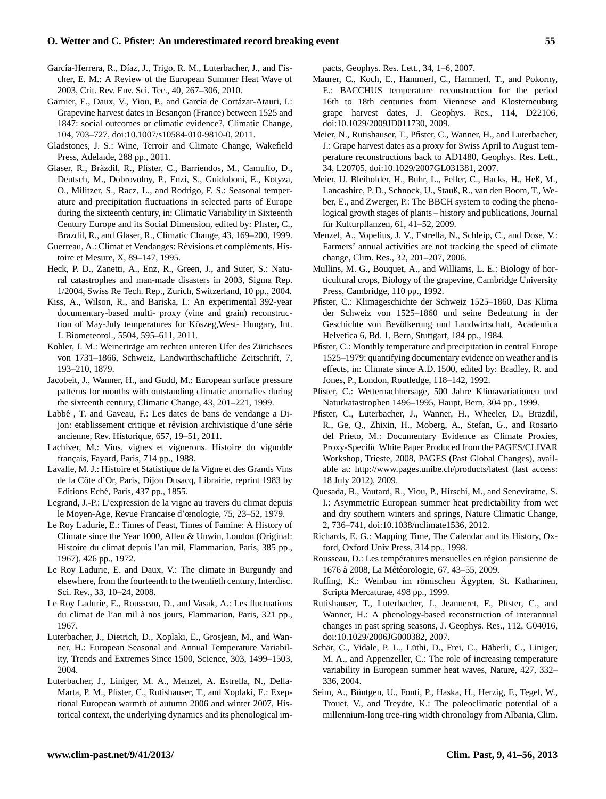- García-Herrera, R., Díaz, J., Trigo, R. M., Luterbacher, J., and Fischer, E. M.: A Review of the European Summer Heat Wave of 2003, Crit. Rev. Env. Sci. Tec., 40, 267–306, 2010.
- Garnier, E., Daux, V., Yiou, P., and García de Cortázar-Atauri, I.: Grapevine harvest dates in Besançon (France) between 1525 and 1847: social outcomes or climatic evidence?, Climatic Change, 104, 703–727, [doi:10.1007/s10584-010-9810-0,](http://dx.doi.org/10.1007/s10584-010-9810-0) 2011.
- Gladstones, J. S.: Wine, Terroir and Climate Change, Wakefield Press, Adelaide, 288 pp., 2011.
- Glaser, R., Brázdil, R., Pfister, C., Barriendos, M., Camuffo, D., Deutsch, M., Dobrovolny, P., Enzi, S., Guidoboni, E., Kotyza, O., Militzer, S., Racz, L., and Rodrigo, F. S.: Seasonal temperature and precipitation fluctuations in selected parts of Europe during the sixteenth century, in: Climatic Variability in Sixteenth Century Europe and its Social Dimension, edited by: Pfister, C., Brazdil, R., and Glaser, R., Climatic Change, 43, 169–200, 1999.
- Guerreau, A.: Climat et Vendanges: Révisions et compléments, Histoire et Mesure, X, 89–147, 1995.
- Heck, P. D., Zanetti, A., Enz, R., Green, J., and Suter, S.: Natural catastrophes and man-made disasters in 2003, Sigma Rep. 1/2004, Swiss Re Tech. Rep., Zurich, Switzerland, 10 pp., 2004.
- Kiss, A., Wilson, R., and Bariska, I.: An experimental 392-year documentary-based multi- proxy (vine and grain) reconstruction of May-July temperatures for Köszeg, West- Hungary, Int. J. Biometeorol., 5504, 595–611, 2011.
- Kohler, J. M.: Weinerträge am rechten unteren Ufer des Zürichsees von 1731–1866, Schweiz, Landwirthschaftliche Zeitschrift, 7, 193–210, 1879.
- Jacobeit, J., Wanner, H., and Gudd, M.: European surface pressure patterns for months with outstanding climatic anomalies during the sixteenth century, Climatic Change, 43, 201–221, 1999.
- Labbé, T. and Gaveau, F.: Les dates de bans de vendange a Dijon: etablissement critique et révision archivistique d'une série ancienne, Rev. Historique, 657, 19–51, 2011.
- Lachiver, M.: Vins, vignes et vignerons. Histoire du vignoble français, Fayard, Paris, 714 pp., 1988.
- Lavalle, M. J.: Histoire et Statistique de la Vigne et des Grands Vins de la Côte d'Or, Paris, Dijon Dusacq, Librairie, reprint 1983 by Editions Eche, Paris, 437 pp., 1855. ´
- Legrand, J.-P.: L'expression de la vigne au travers du climat depuis le Moyen-Age, Revue Francaise d'œnologie, 75, 23–52, 1979.
- Le Roy Ladurie, E.: Times of Feast, Times of Famine: A History of Climate since the Year 1000, Allen & Unwin, London (Original: Histoire du climat depuis l'an mil, Flammarion, Paris, 385 pp., 1967), 426 pp., 1972.
- Le Roy Ladurie, E. and Daux, V.: The climate in Burgundy and elsewhere, from the fourteenth to the twentieth century, Interdisc. Sci. Rev., 33, 10–24, 2008.
- Le Roy Ladurie, E., Rousseau, D., and Vasak, A.: Les fluctuations du climat de l'an mil a nos jours, Flammarion, Paris, 321 pp., ` 1967.
- Luterbacher, J., Dietrich, D., Xoplaki, E., Grosjean, M., and Wanner, H.: European Seasonal and Annual Temperature Variability, Trends and Extremes Since 1500, Science, 303, 1499–1503, 2004.
- Luterbacher, J., Liniger, M. A., Menzel, A. Estrella, N., Della-Marta, P. M., Pfister, C., Rutishauser, T., and Xoplaki, E.: Exeptional European warmth of autumn 2006 and winter 2007, Historical context, the underlying dynamics and its phenological im-

pacts, Geophys. Res. Lett., 34, 1–6, 2007.

- Maurer, C., Koch, E., Hammerl, C., Hammerl, T., and Pokorny, E.: BACCHUS temperature reconstruction for the period 16th to 18th centuries from Viennese and Klosterneuburg grape harvest dates, J. Geophys. Res., 114, D22106, [doi:10.1029/2009JD011730,](http://dx.doi.org/10.1029/2009JD011730) 2009.
- Meier, N., Rutishauser, T., Pfister, C., Wanner, H., and Luterbacher, J.: Grape harvest dates as a proxy for Swiss April to August temperature reconstructions back to AD1480, Geophys. Res. Lett., 34, L20705, [doi:10.1029/2007GL031381,](http://dx.doi.org/10.1029/2007GL031381) 2007.
- Meier, U. Bleiholder, H., Buhr, L., Feller, C., Hacks, H., Heß, M., Lancashire, P. D., Schnock, U., Stauß, R., van den Boom, T., Weber, E., and Zwerger, P.: The BBCH system to coding the phenological growth stages of plants – history and publications, Journal für Kulturpflanzen, 61, 41–52, 2009.
- Menzel, A., Vopelius, J. V., Estrella, N., Schleip, C., and Dose, V.: Farmers' annual activities are not tracking the speed of climate change, Clim. Res., 32, 201–207, 2006.
- Mullins, M. G., Bouquet, A., and Williams, L. E.: Biology of horticultural crops, Biology of the grapevine, Cambridge University Press, Cambridge, 110 pp., 1992.
- Pfister, C.: Klimageschichte der Schweiz 1525–1860, Das Klima der Schweiz von 1525–1860 und seine Bedeutung in der Geschichte von Bevölkerung und Landwirtschaft, Academica Helvetica 6, Bd. 1, Bern, Stuttgart, 184 pp., 1984.
- Pfister, C.: Monthly temperature and precipitation in central Europe 1525–1979: quantifying documentary evidence on weather and is effects, in: Climate since A.D. 1500, edited by: Bradley, R. and Jones, P., London, Routledge, 118–142, 1992.
- Pfister, C.: Wetternachhersage, 500 Jahre Klimavariationen und Naturkatastrophen 1496–1995, Haupt, Bern, 304 pp., 1999.
- Pfister, C., Luterbacher, J., Wanner, H., Wheeler, D., Brazdil, R., Ge, Q., Zhixin, H., Moberg, A., Stefan, G., and Rosario del Prieto, M.: Documentary Evidence as Climate Proxies, Proxy-Specific White Paper Produced from the PAGES/CLIVAR Workshop, Trieste, 2008, PAGES (Past Global Changes), available at: <http://www.pages.unibe.ch/products/latest> (last access: 18 July 2012), 2009.
- Quesada, B., Vautard, R., Yiou, P., Hirschi, M., and Seneviratne, S. I.: Asymmetric European summer heat predictability from wet and dry southern winters and springs, Nature Climatic Change, 2, 736–741, [doi:10.1038/nclimate1536,](http://dx.doi.org/10.1038/nclimate1536) 2012.
- Richards, E. G.: Mapping Time, The Calendar and its History, Oxford, Oxford Univ Press, 314 pp., 1998.
- Rousseau, D.: Les températures mensuelles en région parisienne de 1676 à 2008, La Météorologie, 67, 43-55, 2009.
- Ruffing, K.: Weinbau im römischen Ägypten, St. Katharinen, Scripta Mercaturae, 498 pp., 1999.
- Rutishauser, T., Luterbacher, J., Jeanneret, F., Pfister, C., and Wanner, H.: A phenology-based reconstruction of interannual changes in past spring seasons, J. Geophys. Res., 112, G04016, [doi:10.1029/2006JG000382,](http://dx.doi.org/10.1029/2006JG000382) 2007.
- Schär, C., Vidale, P. L., Lüthi, D., Frei, C., Häberli, C., Liniger, M. A., and Appenzeller, C.: The role of increasing temperature variability in European summer heat waves, Nature, 427, 332– 336, 2004.
- Seim, A., Büntgen, U., Fonti, P., Haska, H., Herzig, F., Tegel, W., Trouet, V., and Treydte, K.: The paleoclimatic potential of a millennium-long tree-ring width chronology from Albania, Clim.